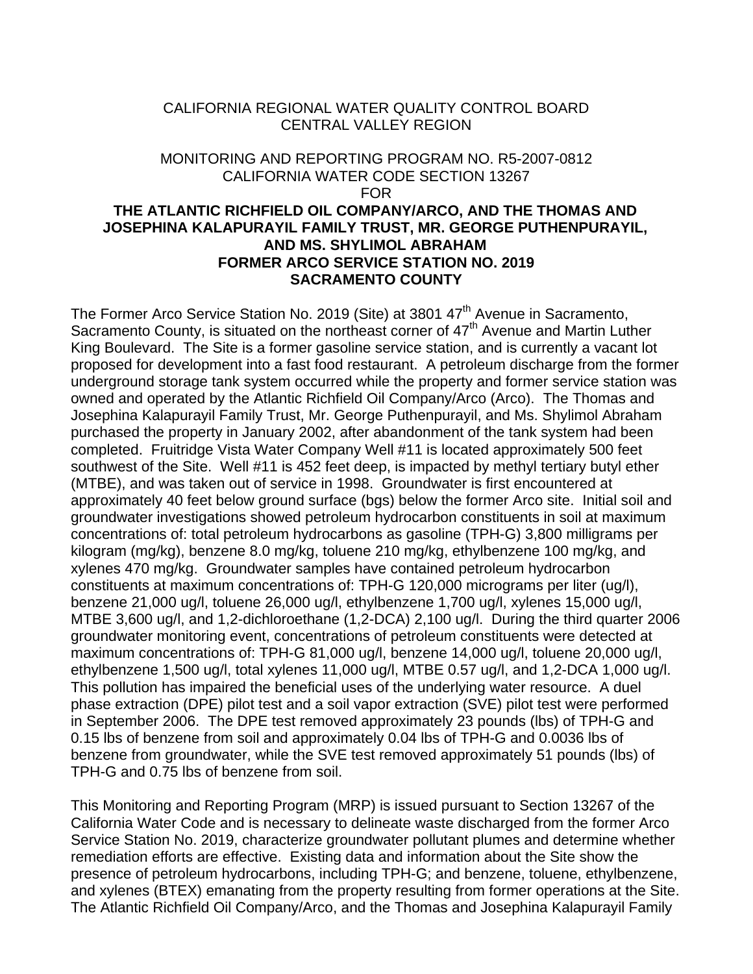### CALIFORNIA REGIONAL WATER QUALITY CONTROL BOARD CENTRAL VALLEY REGION

# MONITORING AND REPORTING PROGRAM NO. R5-2007-0812 CALIFORNIA WATER CODE SECTION 13267 FOR **THE ATLANTIC RICHFIELD OIL COMPANY/ARCO, AND THE THOMAS AND JOSEPHINA KALAPURAYIL FAMILY TRUST, MR. GEORGE PUTHENPURAYIL, AND MS. SHYLIMOL ABRAHAM FORMER ARCO SERVICE STATION NO. 2019 SACRAMENTO COUNTY**

The Former Arco Service Station No. 2019 (Site) at 3801 47<sup>th</sup> Avenue in Sacramento, Sacramento County, is situated on the northeast corner of  $47<sup>th</sup>$  Avenue and Martin Luther King Boulevard. The Site is a former gasoline service station, and is currently a vacant lot proposed for development into a fast food restaurant. A petroleum discharge from the former underground storage tank system occurred while the property and former service station was owned and operated by the Atlantic Richfield Oil Company/Arco (Arco). The Thomas and Josephina Kalapurayil Family Trust, Mr. George Puthenpurayil, and Ms. Shylimol Abraham purchased the property in January 2002, after abandonment of the tank system had been completed. Fruitridge Vista Water Company Well #11 is located approximately 500 feet southwest of the Site. Well #11 is 452 feet deep, is impacted by methyl tertiary butyl ether (MTBE), and was taken out of service in 1998. Groundwater is first encountered at approximately 40 feet below ground surface (bgs) below the former Arco site. Initial soil and groundwater investigations showed petroleum hydrocarbon constituents in soil at maximum concentrations of: total petroleum hydrocarbons as gasoline (TPH-G) 3,800 milligrams per kilogram (mg/kg), benzene 8.0 mg/kg, toluene 210 mg/kg, ethylbenzene 100 mg/kg, and xylenes 470 mg/kg. Groundwater samples have contained petroleum hydrocarbon constituents at maximum concentrations of: TPH-G 120,000 micrograms per liter (ug/l), benzene 21,000 ug/l, toluene 26,000 ug/l, ethylbenzene 1,700 ug/l, xylenes 15,000 ug/l, MTBE 3,600 ug/l, and 1,2-dichloroethane (1,2-DCA) 2,100 ug/l. During the third quarter 2006 groundwater monitoring event, concentrations of petroleum constituents were detected at maximum concentrations of: TPH-G 81,000 ug/l, benzene 14,000 ug/l, toluene 20,000 ug/l, ethylbenzene 1,500 ug/l, total xylenes 11,000 ug/l, MTBE 0.57 ug/l, and 1,2-DCA 1,000 ug/l. This pollution has impaired the beneficial uses of the underlying water resource. A duel phase extraction (DPE) pilot test and a soil vapor extraction (SVE) pilot test were performed in September 2006. The DPE test removed approximately 23 pounds (lbs) of TPH-G and 0.15 lbs of benzene from soil and approximately 0.04 lbs of TPH-G and 0.0036 lbs of benzene from groundwater, while the SVE test removed approximately 51 pounds (lbs) of TPH-G and 0.75 lbs of benzene from soil.

This Monitoring and Reporting Program (MRP) is issued pursuant to Section 13267 of the California Water Code and is necessary to delineate waste discharged from the former Arco Service Station No. 2019, characterize groundwater pollutant plumes and determine whether remediation efforts are effective. Existing data and information about the Site show the presence of petroleum hydrocarbons, including TPH-G; and benzene, toluene, ethylbenzene, and xylenes (BTEX) emanating from the property resulting from former operations at the Site. The Atlantic Richfield Oil Company/Arco, and the Thomas and Josephina Kalapurayil Family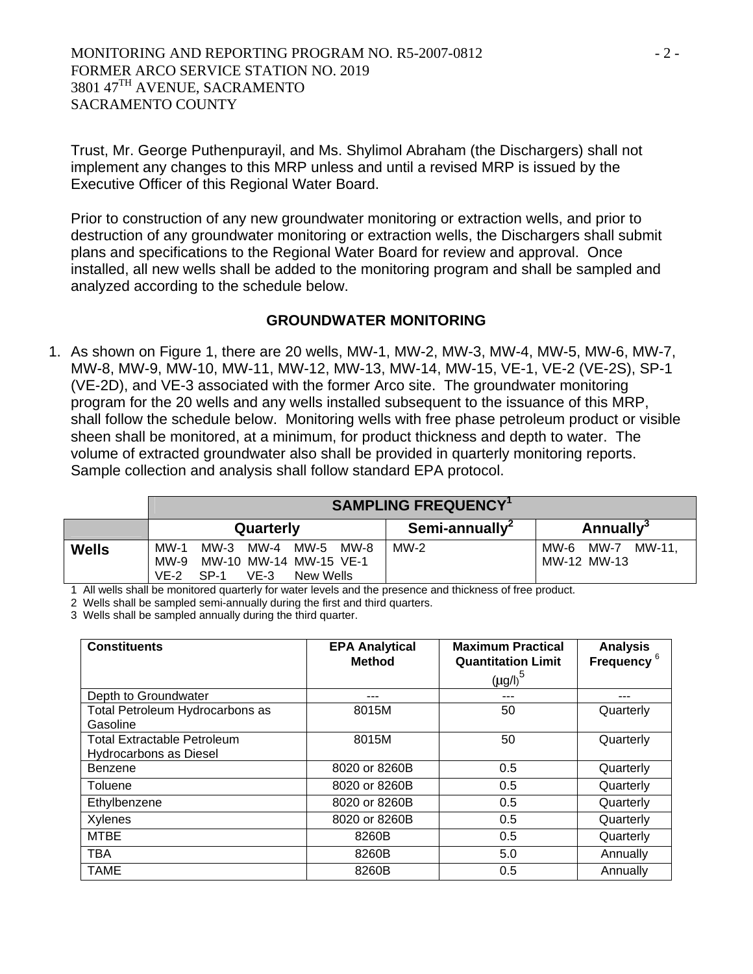MONITORING AND REPORTING PROGRAM NO. R5-2007-0812  $-2$  -FORMER ARCO SERVICE STATION NO. 2019 3801 47<sup>TH</sup> AVENUE, SACRAMENTO SACRAMENTO COUNTY

Trust, Mr. George Puthenpurayil, and Ms. Shylimol Abraham (the Dischargers) shall not implement any changes to this MRP unless and until a revised MRP is issued by the Executive Officer of this Regional Water Board.

Prior to construction of any new groundwater monitoring or extraction wells, and prior to destruction of any groundwater monitoring or extraction wells, the Dischargers shall submit plans and specifications to the Regional Water Board for review and approval. Once installed, all new wells shall be added to the monitoring program and shall be sampled and analyzed according to the schedule below.

### **GROUNDWATER MONITORING**

1. As shown on Figure 1, there are 20 wells, MW-1, MW-2, MW-3, MW-4, MW-5, MW-6, MW-7, MW-8, MW-9, MW-10, MW-11, MW-12, MW-13, MW-14, MW-15, VE-1, VE-2 (VE-2S), SP-1 (VE-2D), and VE-3 associated with the former Arco site. The groundwater monitoring program for the 20 wells and any wells installed subsequent to the issuance of this MRP, shall follow the schedule below. Monitoring wells with free phase petroleum product or visible sheen shall be monitored, at a minimum, for product thickness and depth to water. The volume of extracted groundwater also shall be provided in quarterly monitoring reports. Sample collection and analysis shall follow standard EPA protocol.

|              | <b>SAMPLING FREQUENCY</b> <sup>1</sup>                                                                   |                            |                                    |  |  |
|--------------|----------------------------------------------------------------------------------------------------------|----------------------------|------------------------------------|--|--|
|              | Quarterly                                                                                                | Semi-annually <sup>2</sup> | <b>Annually</b> <sup>3</sup>       |  |  |
| <b>Wells</b> | $MW-1$<br>MW-3 MW-4 MW-5 MW-8<br>MW-10 MW-14 MW-15 VE-1<br>MW-9<br>$VF-2$<br>SP-1<br>$VE-3$<br>New Wells | $MW-2$                     | MW-11.<br>MW-6 MW-7<br>MW-12 MW-13 |  |  |

1 All wells shall be monitored quarterly for water levels and the presence and thickness of free product.

2 Wells shall be sampled semi-annually during the first and third quarters.

3 Wells shall be sampled annually during the third quarter.

| <b>Constituents</b>                                          | <b>EPA Analytical</b><br><b>Method</b> | <b>Maximum Practical</b><br><b>Quantitation Limit</b><br>${(\mu g/l)}^5$ | <b>Analysis</b><br>Frequency <sup>6</sup> |
|--------------------------------------------------------------|----------------------------------------|--------------------------------------------------------------------------|-------------------------------------------|
| Depth to Groundwater                                         |                                        |                                                                          |                                           |
| Total Petroleum Hydrocarbons as<br>Gasoline                  | 8015M                                  | 50                                                                       | Quarterly                                 |
| <b>Total Extractable Petroleum</b><br>Hydrocarbons as Diesel | 8015M                                  | 50                                                                       | Quarterly                                 |
| Benzene                                                      | 8020 or 8260B                          | 0.5                                                                      | Quarterly                                 |
| Toluene                                                      | 8020 or 8260B                          | 0.5                                                                      | Quarterly                                 |
| Ethylbenzene                                                 | 8020 or 8260B                          | 0.5                                                                      | Quarterly                                 |
| Xylenes                                                      | 8020 or 8260B                          | 0.5                                                                      | Quarterly                                 |
| <b>MTBE</b>                                                  | 8260B                                  | 0.5                                                                      | Quarterly                                 |
| <b>TBA</b>                                                   | 8260B                                  | 5.0                                                                      | Annually                                  |
| <b>TAME</b>                                                  | 8260B                                  | 0.5                                                                      | Annually                                  |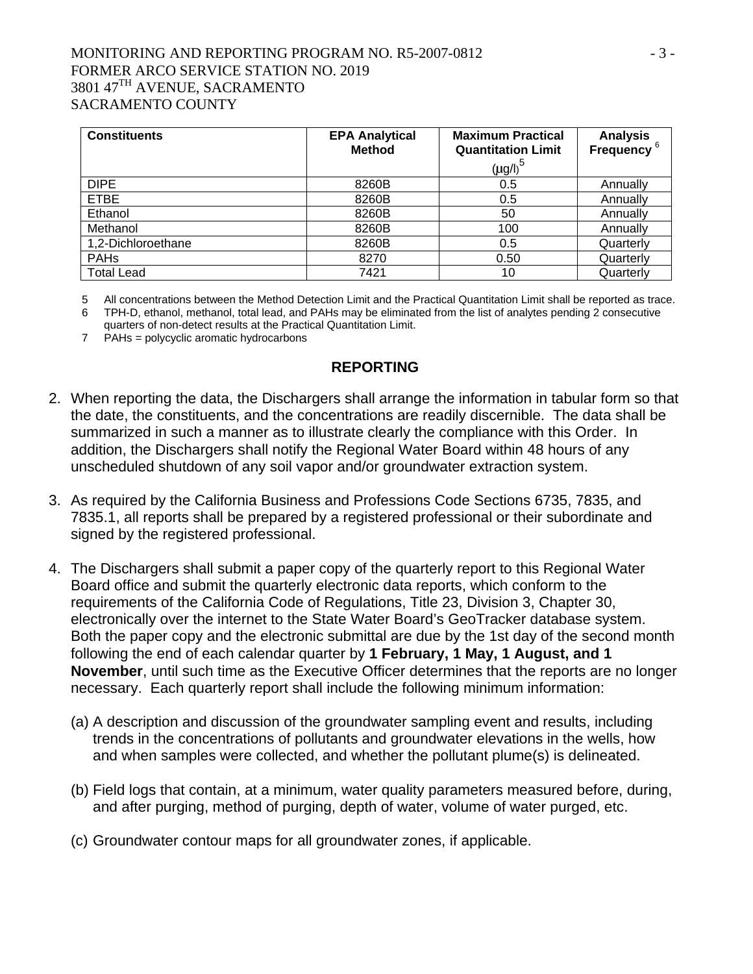# MONITORING AND REPORTING PROGRAM NO. R5-2007-0812 - 3 -FORMER ARCO SERVICE STATION NO. 2019 3801 47<sup>TH</sup> AVENUE, SACRAMENTO SACRAMENTO COUNTY

| <b>Constituents</b> | <b>EPA Analytical</b><br><b>Method</b> | <b>Maximum Practical</b><br><b>Quantitation Limit</b><br>$(\mu g/l)^5$ | <b>Analysis</b><br>Frequency <sup>6</sup> |
|---------------------|----------------------------------------|------------------------------------------------------------------------|-------------------------------------------|
| <b>DIPE</b>         | 8260B                                  | 0.5                                                                    | Annually                                  |
| <b>ETBE</b>         | 8260B                                  | 0.5                                                                    | Annually                                  |
| Ethanol             | 8260B                                  | 50                                                                     | Annually                                  |
| Methanol            | 8260B                                  | 100                                                                    | Annually                                  |
| 1,2-Dichloroethane  | 8260B                                  | 0.5                                                                    | Quarterly                                 |
| <b>PAHs</b>         | 8270                                   | 0.50                                                                   | Quarterly                                 |
| <b>Total Lead</b>   | 7421                                   | 10                                                                     | Quarterly                                 |

5 All concentrations between the Method Detection Limit and the Practical Quantitation Limit shall be reported as trace.

6 TPH-D, ethanol, methanol, total lead, and PAHs may be eliminated from the list of analytes pending 2 consecutive

quarters of non-detect results at the Practical Quantitation Limit.

7 PAHs = polycyclic aromatic hydrocarbons

#### **REPORTING**

- 2. When reporting the data, the Dischargers shall arrange the information in tabular form so that the date, the constituents, and the concentrations are readily discernible. The data shall be summarized in such a manner as to illustrate clearly the compliance with this Order. In addition, the Dischargers shall notify the Regional Water Board within 48 hours of any unscheduled shutdown of any soil vapor and/or groundwater extraction system.
- 3. As required by the California Business and Professions Code Sections 6735, 7835, and 7835.1, all reports shall be prepared by a registered professional or their subordinate and signed by the registered professional.
- 4. The Dischargers shall submit a paper copy of the quarterly report to this Regional Water Board office and submit the quarterly electronic data reports, which conform to the requirements of the California Code of Regulations, Title 23, Division 3, Chapter 30, electronically over the internet to the State Water Board's GeoTracker database system. Both the paper copy and the electronic submittal are due by the 1st day of the second month following the end of each calendar quarter by **1 February, 1 May, 1 August, and 1 November**, until such time as the Executive Officer determines that the reports are no longer necessary. Each quarterly report shall include the following minimum information:
	- (a) A description and discussion of the groundwater sampling event and results, including trends in the concentrations of pollutants and groundwater elevations in the wells, how and when samples were collected, and whether the pollutant plume(s) is delineated.
	- (b) Field logs that contain, at a minimum, water quality parameters measured before, during, and after purging, method of purging, depth of water, volume of water purged, etc.
	- (c) Groundwater contour maps for all groundwater zones, if applicable.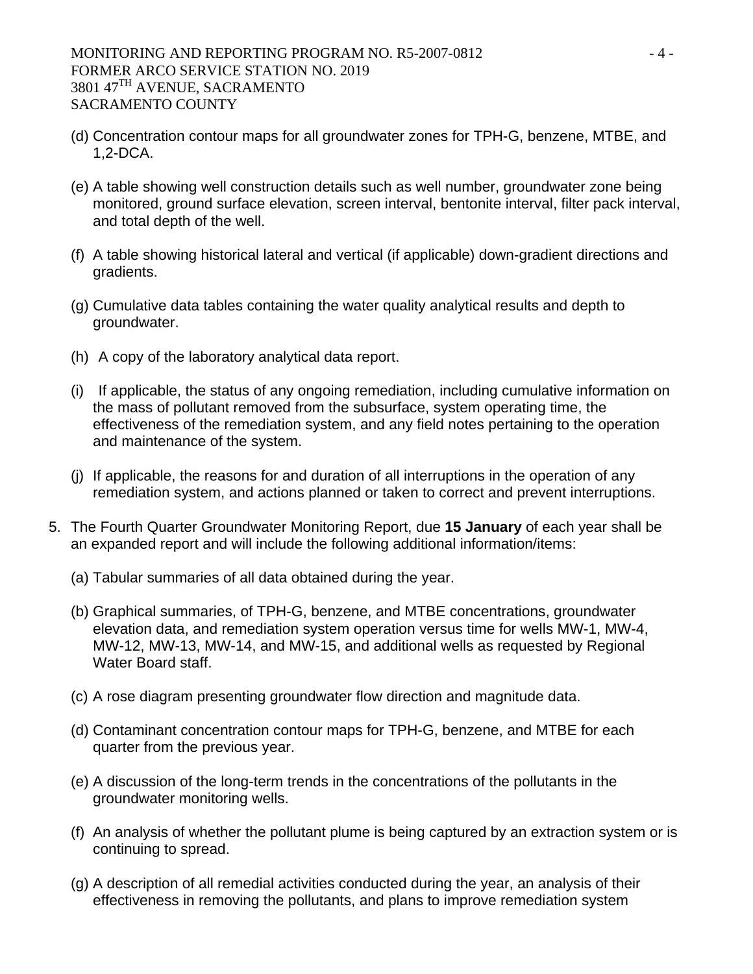- (d) Concentration contour maps for all groundwater zones for TPH-G, benzene, MTBE, and 1,2-DCA.
- (e) A table showing well construction details such as well number, groundwater zone being monitored, ground surface elevation, screen interval, bentonite interval, filter pack interval, and total depth of the well.
- (f) A table showing historical lateral and vertical (if applicable) down-gradient directions and gradients.
- (g) Cumulative data tables containing the water quality analytical results and depth to groundwater.
- (h) A copy of the laboratory analytical data report.
- (i) If applicable, the status of any ongoing remediation, including cumulative information on the mass of pollutant removed from the subsurface, system operating time, the effectiveness of the remediation system, and any field notes pertaining to the operation and maintenance of the system.
- (j) If applicable, the reasons for and duration of all interruptions in the operation of any remediation system, and actions planned or taken to correct and prevent interruptions.
- 5. The Fourth Quarter Groundwater Monitoring Report, due **15 January** of each year shall be an expanded report and will include the following additional information/items:
	- (a) Tabular summaries of all data obtained during the year.
	- (b) Graphical summaries, of TPH-G, benzene, and MTBE concentrations, groundwater elevation data, and remediation system operation versus time for wells MW-1, MW-4, MW-12, MW-13, MW-14, and MW-15, and additional wells as requested by Regional Water Board staff.
	- (c) A rose diagram presenting groundwater flow direction and magnitude data.
	- (d) Contaminant concentration contour maps for TPH-G, benzene, and MTBE for each quarter from the previous year.
	- (e) A discussion of the long-term trends in the concentrations of the pollutants in the groundwater monitoring wells.
	- (f) An analysis of whether the pollutant plume is being captured by an extraction system or is continuing to spread.
	- (g) A description of all remedial activities conducted during the year, an analysis of their effectiveness in removing the pollutants, and plans to improve remediation system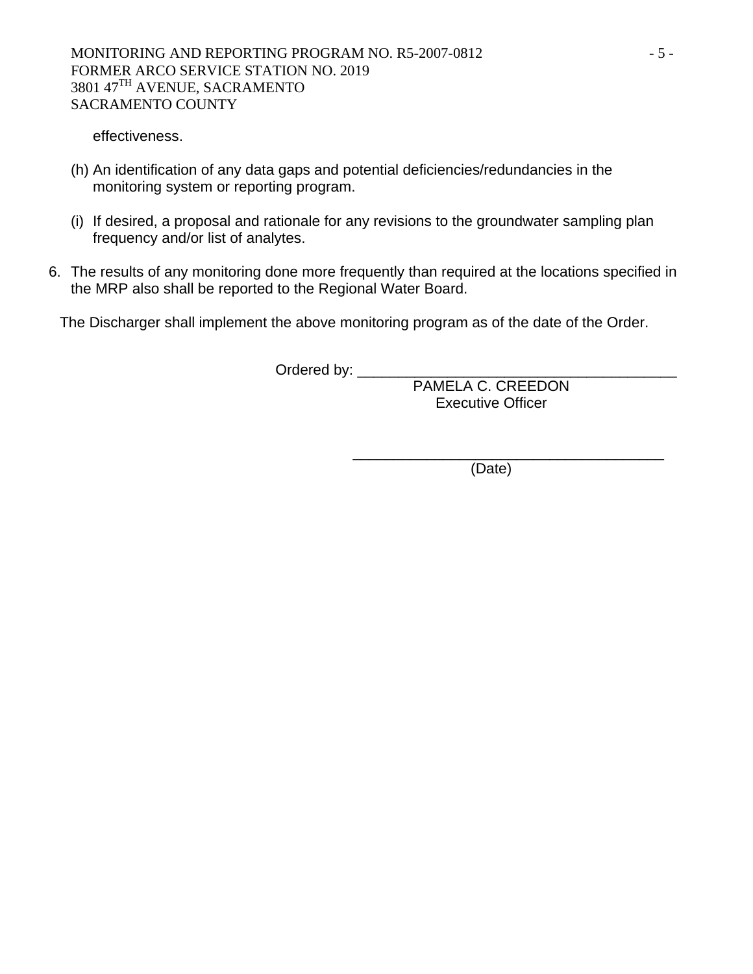effectiveness.

- (h) An identification of any data gaps and potential deficiencies/redundancies in the monitoring system or reporting program.
- (i) If desired, a proposal and rationale for any revisions to the groundwater sampling plan frequency and/or list of analytes.
- 6. The results of any monitoring done more frequently than required at the locations specified in the MRP also shall be reported to the Regional Water Board.

The Discharger shall implement the above monitoring program as of the date of the Order.

Ordered by: \_\_\_\_\_\_\_\_\_\_\_\_\_\_\_\_\_\_\_\_\_\_\_\_\_\_\_\_\_\_\_\_\_\_\_\_\_\_\_

PAMELA C. CREEDON Executive Officer

(Date)

 $\frac{1}{\sqrt{2}}$  ,  $\frac{1}{\sqrt{2}}$  ,  $\frac{1}{\sqrt{2}}$  ,  $\frac{1}{\sqrt{2}}$  ,  $\frac{1}{\sqrt{2}}$  ,  $\frac{1}{\sqrt{2}}$  ,  $\frac{1}{\sqrt{2}}$  ,  $\frac{1}{\sqrt{2}}$  ,  $\frac{1}{\sqrt{2}}$  ,  $\frac{1}{\sqrt{2}}$  ,  $\frac{1}{\sqrt{2}}$  ,  $\frac{1}{\sqrt{2}}$  ,  $\frac{1}{\sqrt{2}}$  ,  $\frac{1}{\sqrt{2}}$  ,  $\frac{1}{\sqrt{2}}$